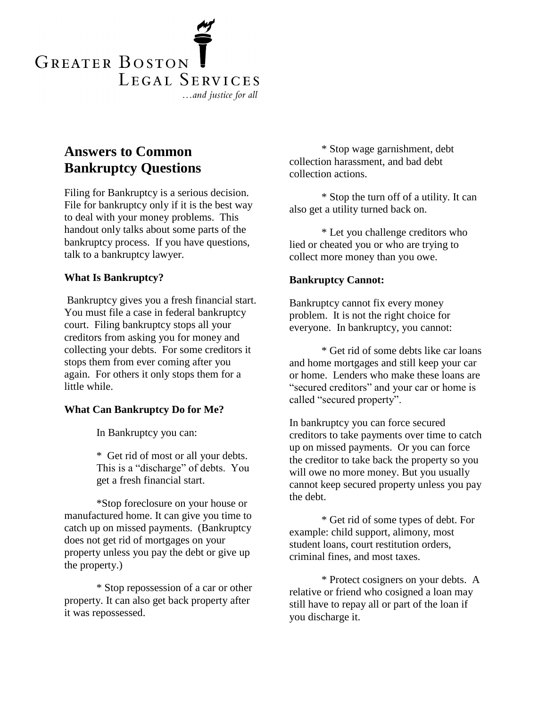

# **Answers to Common Bankruptcy Questions**

Filing for Bankruptcy is a serious decision. File for bankruptcy only if it is the best way to deal with your money problems. This handout only talks about some parts of the bankruptcy process. If you have questions, talk to a bankruptcy lawyer.

# **What Is Bankruptcy?**

Bankruptcy gives you a fresh financial start. You must file a case in federal bankruptcy court. Filing bankruptcy stops all your creditors from asking you for money and collecting your debts. For some creditors it stops them from ever coming after you again. For others it only stops them for a little while.

### **What Can Bankruptcy Do for Me?**

In Bankruptcy you can:

\* Get rid of most or all your debts. This is a "discharge" of debts. You get a fresh financial start.

\*Stop foreclosure on your house or manufactured home. It can give you time to catch up on missed payments. (Bankruptcy does not get rid of mortgages on your property unless you pay the debt or give up the property.)

\* Stop repossession of a car or other property. It can also get back property after it was repossessed.

\* Stop wage garnishment, debt collection harassment, and bad debt collection actions.

\* Stop the turn off of a utility. It can also get a utility turned back on.

\* Let you challenge creditors who lied or cheated you or who are trying to collect more money than you owe.

#### **Bankruptcy Cannot:**

Bankruptcy cannot fix every money problem. It is not the right choice for everyone. In bankruptcy, you cannot:

\* Get rid of some debts like car loans and home mortgages and still keep your car or home. Lenders who make these loans are "secured creditors" and your car or home is called "secured property".

In bankruptcy you can force secured creditors to take payments over time to catch up on missed payments. Or you can force the creditor to take back the property so you will owe no more money. But you usually cannot keep secured property unless you pay the debt.

\* Get rid of some types of debt. For example: child support, alimony, most student loans, court restitution orders, criminal fines, and most taxes.

\* Protect cosigners on your debts. A relative or friend who cosigned a loan may still have to repay all or part of the loan if you discharge it.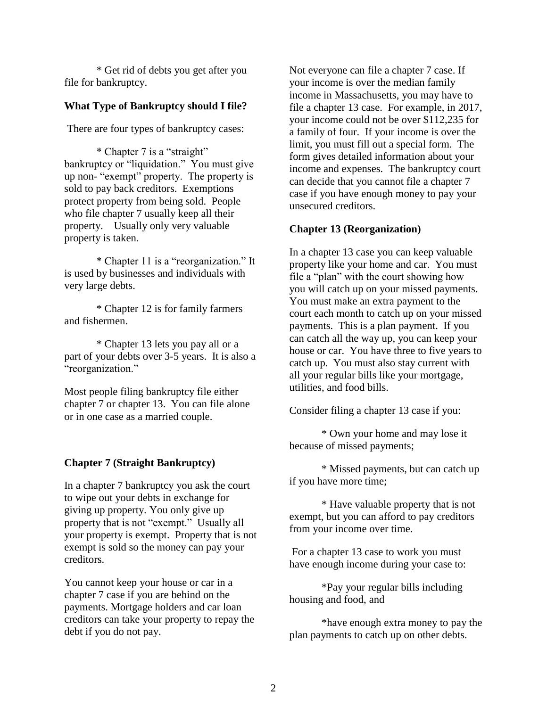\* Get rid of debts you get after you file for bankruptcy.

# **What Type of Bankruptcy should I file?**

There are four types of bankruptcy cases:

\* Chapter 7 is a "straight" bankruptcy or "liquidation." You must give up non- "exempt" property. The property is sold to pay back creditors. Exemptions protect property from being sold. People who file chapter 7 usually keep all their property. Usually only very valuable property is taken.

\* Chapter 11 is a "reorganization." It is used by businesses and individuals with very large debts.

\* Chapter 12 is for family farmers and fishermen.

\* Chapter 13 lets you pay all or a part of your debts over 3-5 years. It is also a "reorganization."

Most people filing bankruptcy file either chapter 7 or chapter 13. You can file alone or in one case as a married couple.

### **Chapter 7 (Straight Bankruptcy)**

In a chapter 7 bankruptcy you ask the court to wipe out your debts in exchange for giving up property. You only give up property that is not "exempt." Usually all your property is exempt. Property that is not exempt is sold so the money can pay your creditors.

You cannot keep your house or car in a chapter 7 case if you are behind on the payments. Mortgage holders and car loan creditors can take your property to repay the debt if you do not pay.

Not everyone can file a chapter 7 case. If your income is over the median family income in Massachusetts, you may have to file a chapter 13 case. For example, in 2017, your income could not be over \$112,235 for a family of four. If your income is over the limit, you must fill out a special form. The form gives detailed information about your income and expenses. The bankruptcy court can decide that you cannot file a chapter 7 case if you have enough money to pay your unsecured creditors.

#### **Chapter 13 (Reorganization)**

In a chapter 13 case you can keep valuable property like your home and car. You must file a "plan" with the court showing how you will catch up on your missed payments. You must make an extra payment to the court each month to catch up on your missed payments. This is a plan payment. If you can catch all the way up, you can keep your house or car. You have three to five years to catch up. You must also stay current with all your regular bills like your mortgage, utilities, and food bills.

Consider filing a chapter 13 case if you:

\* Own your home and may lose it because of missed payments;

\* Missed payments, but can catch up if you have more time;

\* Have valuable property that is not exempt, but you can afford to pay creditors from your income over time.

For a chapter 13 case to work you must have enough income during your case to:

\*Pay your regular bills including housing and food, and

\*have enough extra money to pay the plan payments to catch up on other debts.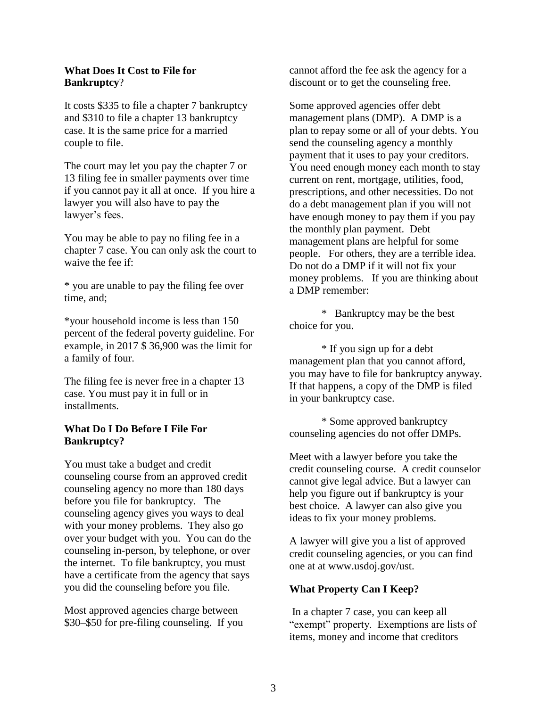#### **What Does It Cost to File for Bankruptcy**?

It costs \$335 to file a chapter 7 bankruptcy and \$310 to file a chapter 13 bankruptcy case. It is the same price for a married couple to file.

The court may let you pay the chapter 7 or 13 filing fee in smaller payments over time if you cannot pay it all at once. If you hire a lawyer you will also have to pay the lawyer's fees.

You may be able to pay no filing fee in a chapter 7 case. You can only ask the court to waive the fee if:

\* you are unable to pay the filing fee over time, and;

\*your household income is less than 150 percent of the federal poverty guideline. For example, in 2017 \$ 36,900 was the limit for a family of four.

The filing fee is never free in a chapter 13 case. You must pay it in full or in installments.

### **What Do I Do Before I File For Bankruptcy?**

You must take a budget and credit counseling course from an approved credit counseling agency no more than 180 days before you file for bankruptcy. The counseling agency gives you ways to deal with your money problems. They also go over your budget with you. You can do the counseling in-person, by telephone, or over the internet. To file bankruptcy, you must have a certificate from the agency that says you did the counseling before you file.

Most approved agencies charge between \$30–\$50 for pre-filing counseling. If you cannot afford the fee ask the agency for a discount or to get the counseling free.

Some approved agencies offer debt management plans (DMP). A DMP is a plan to repay some or all of your debts. You send the counseling agency a monthly payment that it uses to pay your creditors. You need enough money each month to stay current on rent, mortgage, utilities, food, prescriptions, and other necessities. Do not do a debt management plan if you will not have enough money to pay them if you pay the monthly plan payment. Debt management plans are helpful for some people. For others, they are a terrible idea. Do not do a DMP if it will not fix your money problems. If you are thinking about a DMP remember:

\* Bankruptcy may be the best choice for you.

\* If you sign up for a debt management plan that you cannot afford, you may have to file for bankruptcy anyway. If that happens, a copy of the DMP is filed in your bankruptcy case.

\* Some approved bankruptcy counseling agencies do not offer DMPs.

Meet with a lawyer before you take the credit counseling course. A credit counselor cannot give legal advice. But a lawyer can help you figure out if bankruptcy is your best choice. A lawyer can also give you ideas to fix your money problems.

A lawyer will give you a list of approved credit counseling agencies, or you can find one at at www.usdoj.gov/ust.

# **What Property Can I Keep?**

In a chapter 7 case, you can keep all "exempt" property. Exemptions are lists of items, money and income that creditors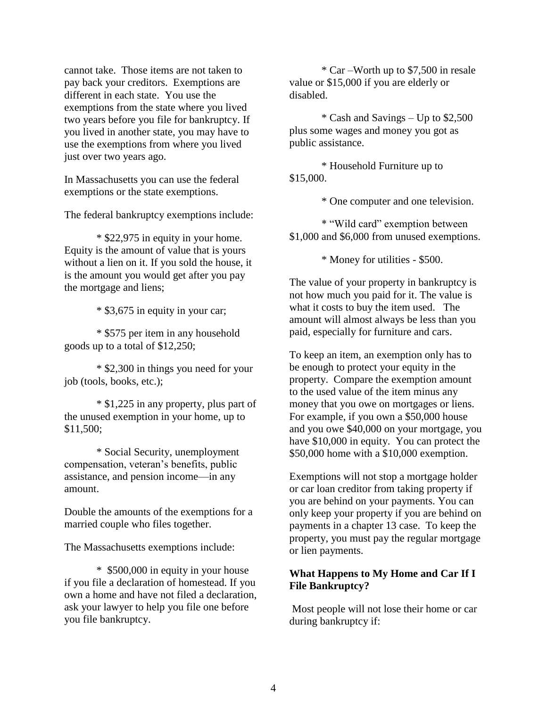cannot take. Those items are not taken to pay back your creditors. Exemptions are different in each state. You use the exemptions from the state where you lived two years before you file for bankruptcy. If you lived in another state, you may have to use the exemptions from where you lived just over two years ago.

In Massachusetts you can use the federal exemptions or the state exemptions.

The federal bankruptcy exemptions include:

\* \$22,975 in equity in your home. Equity is the amount of value that is yours without a lien on it. If you sold the house, it is the amount you would get after you pay the mortgage and liens;

\* \$3,675 in equity in your car;

\* \$575 per item in any household goods up to a total of \$12,250;

\* \$2,300 in things you need for your job (tools, books, etc.);

\* \$1,225 in any property, plus part of the unused exemption in your home, up to \$11,500;

\* Social Security, unemployment compensation, veteran's benefits, public assistance, and pension income—in any amount.

Double the amounts of the exemptions for a married couple who files together.

The Massachusetts exemptions include:

\* \$500,000 in equity in your house if you file a declaration of homestead. If you own a home and have not filed a declaration, ask your lawyer to help you file one before you file bankruptcy.

\* Car –Worth up to \$7,500 in resale value or \$15,000 if you are elderly or disabled.

\* Cash and Savings – Up to \$2,500 plus some wages and money you got as public assistance.

\* Household Furniture up to \$15,000.

\* One computer and one television.

\* "Wild card" exemption between \$1,000 and \$6,000 from unused exemptions.

\* Money for utilities - \$500.

The value of your property in bankruptcy is not how much you paid for it. The value is what it costs to buy the item used. The amount will almost always be less than you paid, especially for furniture and cars.

To keep an item, an exemption only has to be enough to protect your equity in the property. Compare the exemption amount to the used value of the item minus any money that you owe on mortgages or liens. For example, if you own a \$50,000 house and you owe \$40,000 on your mortgage, you have \$10,000 in equity. You can protect the \$50,000 home with a \$10,000 exemption.

Exemptions will not stop a mortgage holder or car loan creditor from taking property if you are behind on your payments. You can only keep your property if you are behind on payments in a chapter 13 case. To keep the property, you must pay the regular mortgage or lien payments.

# **What Happens to My Home and Car If I File Bankruptcy?**

Most people will not lose their home or car during bankruptcy if: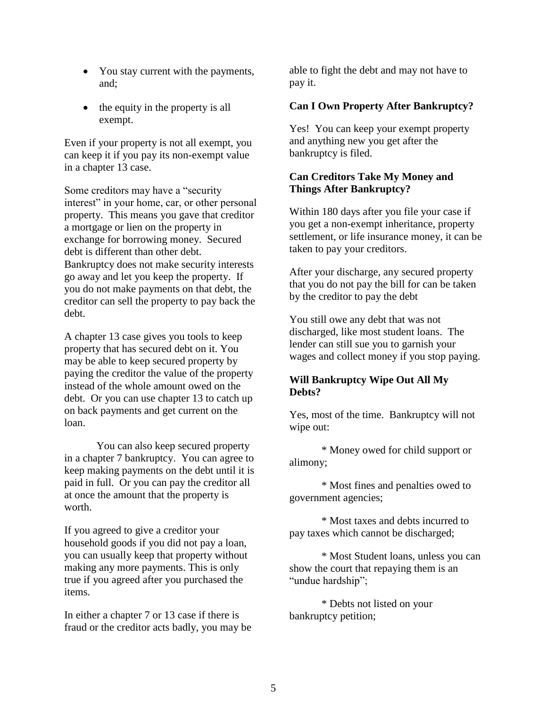- You stay current with the payments, and;
- the equity in the property is all exempt.

Even if your property is not all exempt, you can keep it if you pay its non-exempt value in a chapter 13 case.

Some creditors may have a "security interest" in your home, car, or other personal property. This means you gave that creditor a mortgage or lien on the property in exchange for borrowing money. Secured debt is different than other debt. Bankruptcy does not make security interests go away and let you keep the property. If you do not make payments on that debt, the creditor can sell the property to pay back the debt.

A chapter 13 case gives you tools to keep property that has secured debt on it. You may be able to keep secured property by paying the creditor the value of the property instead of the whole amount owed on the debt. Or you can use chapter 13 to catch up on back payments and get current on the loan.

You can also keep secured property in a chapter 7 bankruptcy. You can agree to keep making payments on the debt until it is paid in full. Or you can pay the creditor all at once the amount that the property is worth.

If you agreed to give a creditor your household goods if you did not pay a loan, you can usually keep that property without making any more payments. This is only true if you agreed after you purchased the items.

In either a chapter 7 or 13 case if there is fraud or the creditor acts badly, you may be able to fight the debt and may not have to pay it.

# **Can I Own Property After Bankruptcy?**

Yes! You can keep your exempt property and anything new you get after the bankruptcy is filed.

## **Can Creditors Take My Money and Things After Bankruptcy?**

Within 180 days after you file your case if you get a non-exempt inheritance, property settlement, or life insurance money, it can be taken to pay your creditors.

After your discharge, any secured property that you do not pay the bill for can be taken by the creditor to pay the debt

You still owe any debt that was not discharged, like most student loans. The lender can still sue you to garnish your wages and collect money if you stop paying.

# **Will Bankruptcy Wipe Out All My Debts?**

Yes, most of the time. Bankruptcy will not wipe out:

\* Money owed for child support or alimony;

\* Most fines and penalties owed to government agencies;

\* Most taxes and debts incurred to pay taxes which cannot be discharged;

\* Most Student loans, unless you can show the court that repaying them is an "undue hardship";

\* Debts not listed on your bankruptcy petition;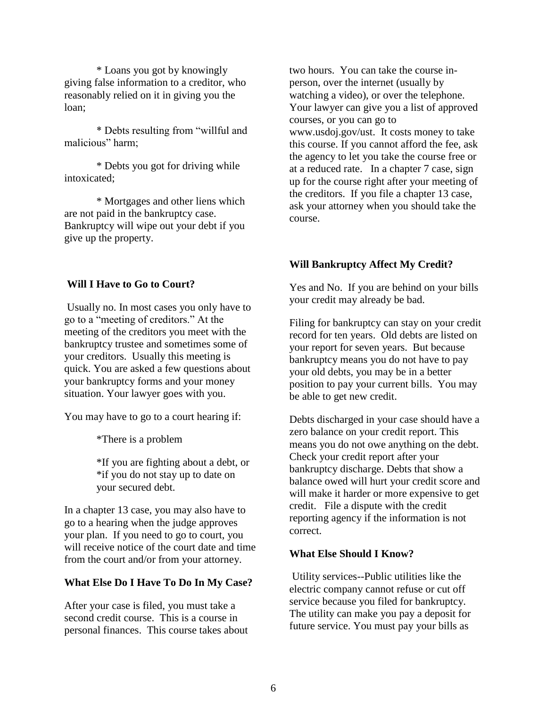\* Loans you got by knowingly giving false information to a creditor, who reasonably relied on it in giving you the loan;

\* Debts resulting from "willful and malicious" harm;

\* Debts you got for driving while intoxicated;

\* Mortgages and other liens which are not paid in the bankruptcy case. Bankruptcy will wipe out your debt if you give up the property.

### **Will I Have to Go to Court?**

Usually no. In most cases you only have to go to a "meeting of creditors." At the meeting of the creditors you meet with the bankruptcy trustee and sometimes some of your creditors. Usually this meeting is quick. You are asked a few questions about your bankruptcy forms and your money situation. Your lawyer goes with you.

You may have to go to a court hearing if:

\*There is a problem

\*If you are fighting about a debt, or \*if you do not stay up to date on your secured debt.

In a chapter 13 case, you may also have to go to a hearing when the judge approves your plan. If you need to go to court, you will receive notice of the court date and time from the court and/or from your attorney.

#### **What Else Do I Have To Do In My Case?**

After your case is filed, you must take a second credit course. This is a course in personal finances. This course takes about two hours. You can take the course inperson, over the internet (usually by watching a video), or over the telephone. Your lawyer can give you a list of approved courses, or you can go to www.usdoj.gov/ust. It costs money to take this course. If you cannot afford the fee, ask the agency to let you take the course free or at a reduced rate. In a chapter 7 case, sign up for the course right after your meeting of the creditors. If you file a chapter 13 case, ask your attorney when you should take the course.

### **Will Bankruptcy Affect My Credit?**

Yes and No. If you are behind on your bills your credit may already be bad.

Filing for bankruptcy can stay on your credit record for ten years. Old debts are listed on your report for seven years. But because bankruptcy means you do not have to pay your old debts, you may be in a better position to pay your current bills. You may be able to get new credit.

Debts discharged in your case should have a zero balance on your credit report. This means you do not owe anything on the debt. Check your credit report after your bankruptcy discharge. Debts that show a balance owed will hurt your credit score and will make it harder or more expensive to get credit. File a dispute with the credit reporting agency if the information is not correct.

### **What Else Should I Know?**

Utility services--Public utilities like the electric company cannot refuse or cut off service because you filed for bankruptcy. The utility can make you pay a deposit for future service. You must pay your bills as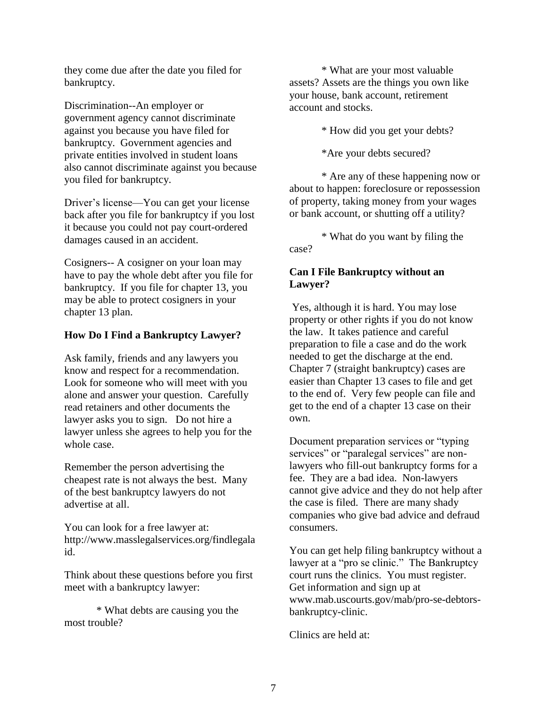they come due after the date you filed for bankruptcy.

Discrimination--An employer or government agency cannot discriminate against you because you have filed for bankruptcy. Government agencies and private entities involved in student loans also cannot discriminate against you because you filed for bankruptcy.

Driver's license—You can get your license back after you file for bankruptcy if you lost it because you could not pay court-ordered damages caused in an accident.

Cosigners-- A cosigner on your loan may have to pay the whole debt after you file for bankruptcy. If you file for chapter 13, you may be able to protect cosigners in your chapter 13 plan.

# **How Do I Find a Bankruptcy Lawyer?**

Ask family, friends and any lawyers you know and respect for a recommendation. Look for someone who will meet with you alone and answer your question. Carefully read retainers and other documents the lawyer asks you to sign. Do not hire a lawyer unless she agrees to help you for the whole case.

Remember the person advertising the cheapest rate is not always the best. Many of the best bankruptcy lawyers do not advertise at all.

You can look for a free lawyer at: http://www.masslegalservices.org/findlegala id.

Think about these questions before you first meet with a bankruptcy lawyer:

\* What debts are causing you the most trouble?

\* What are your most valuable assets? Assets are the things you own like your house, bank account, retirement account and stocks.

\* How did you get your debts?

\*Are your debts secured?

\* Are any of these happening now or about to happen: foreclosure or repossession of property, taking money from your wages or bank account, or shutting off a utility?

\* What do you want by filing the case?

# **Can I File Bankruptcy without an Lawyer?**

Yes, although it is hard. You may lose property or other rights if you do not know the law. It takes patience and careful preparation to file a case and do the work needed to get the discharge at the end. Chapter 7 (straight bankruptcy) cases are easier than Chapter 13 cases to file and get to the end of. Very few people can file and get to the end of a chapter 13 case on their own.

Document preparation services or "typing services" or "paralegal services" are nonlawyers who fill-out bankruptcy forms for a fee. They are a bad idea. Non-lawyers cannot give advice and they do not help after the case is filed. There are many shady companies who give bad advice and defraud consumers.

You can get help filing bankruptcy without a lawyer at a "pro se clinic." The Bankruptcy court runs the clinics. You must register. Get information and sign up at www.mab.uscourts.gov/mab/pro-se-debtorsbankruptcy-clinic.

Clinics are held at: